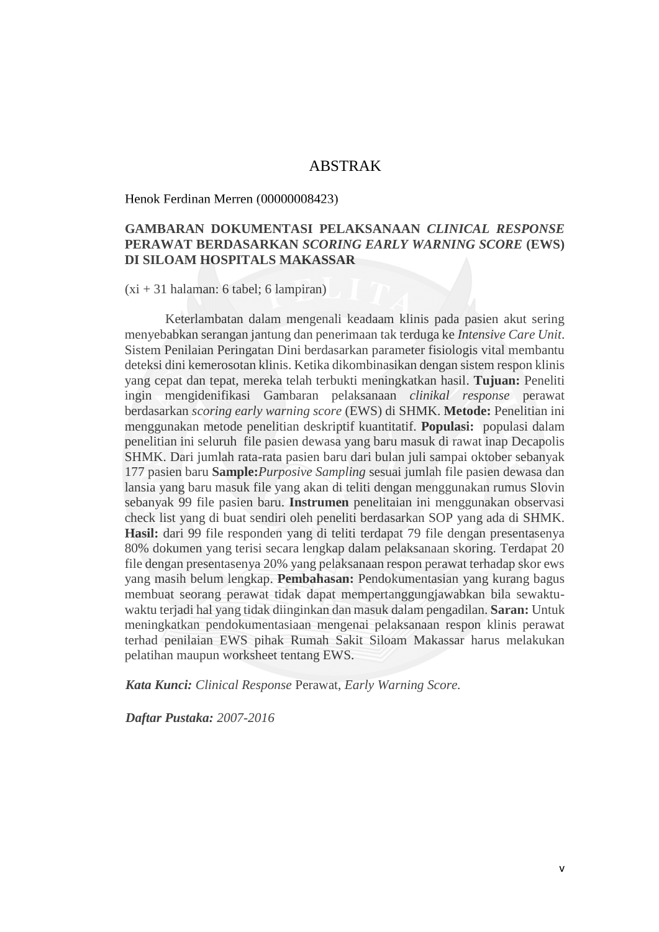# ABSTRAK

Henok Ferdinan Merren (00000008423)

# **GAMBARAN DOKUMENTASI PELAKSANAAN** *CLINICAL RESPONSE* **PERAWAT BERDASARKAN** *SCORING EARLY WARNING SCORE* **(EWS) DI SILOAM HOSPITALS MAKASSAR**

### (xi + 31 halaman: 6 tabel; 6 lampiran)

Keterlambatan dalam mengenali keadaam klinis pada pasien akut sering menyebabkan serangan jantung dan penerimaan tak terduga ke *Intensive Care Unit*. Sistem Penilaian Peringatan Dini berdasarkan parameter fisiologis vital membantu deteksi dini kemerosotan klinis. Ketika dikombinasikan dengan sistem respon klinis yang cepat dan tepat, mereka telah terbukti meningkatkan hasil. **Tujuan:** Peneliti ingin mengidenifikasi Gambaran pelaksanaan *clinikal response* perawat berdasarkan *scoring early warning score* (EWS) di SHMK. **Metode:** Penelitian ini menggunakan metode penelitian deskriptif kuantitatif. **Populasi:** populasi dalam penelitian ini seluruh file pasien dewasa yang baru masuk di rawat inap Decapolis SHMK. Dari jumlah rata-rata pasien baru dari bulan juli sampai oktober sebanyak 177 pasien baru **Sample:***Purposive Sampling* sesuai jumlah file pasien dewasa dan lansia yang baru masuk file yang akan di teliti dengan menggunakan rumus Slovin sebanyak 99 file pasien baru. **Instrumen** penelitaian ini menggunakan observasi check list yang di buat sendiri oleh peneliti berdasarkan SOP yang ada di SHMK. **Hasil:** dari 99 file responden yang di teliti terdapat 79 file dengan presentasenya 80% dokumen yang terisi secara lengkap dalam pelaksanaan skoring. Terdapat 20 file dengan presentasenya 20% yang pelaksanaan respon perawat terhadap skor ews yang masih belum lengkap. **Pembahasan:** Pendokumentasian yang kurang bagus membuat seorang perawat tidak dapat mempertanggungjawabkan bila sewaktuwaktu terjadi hal yang tidak diinginkan dan masuk dalam pengadilan. **Saran:** Untuk meningkatkan pendokumentasiaan mengenai pelaksanaan respon klinis perawat terhad penilaian EWS pihak Rumah Sakit Siloam Makassar harus melakukan pelatihan maupun worksheet tentang EWS.

*Kata Kunci: Clinical Response* Perawat, *Early Warning Score.*

*Daftar Pustaka: 2007-2016*